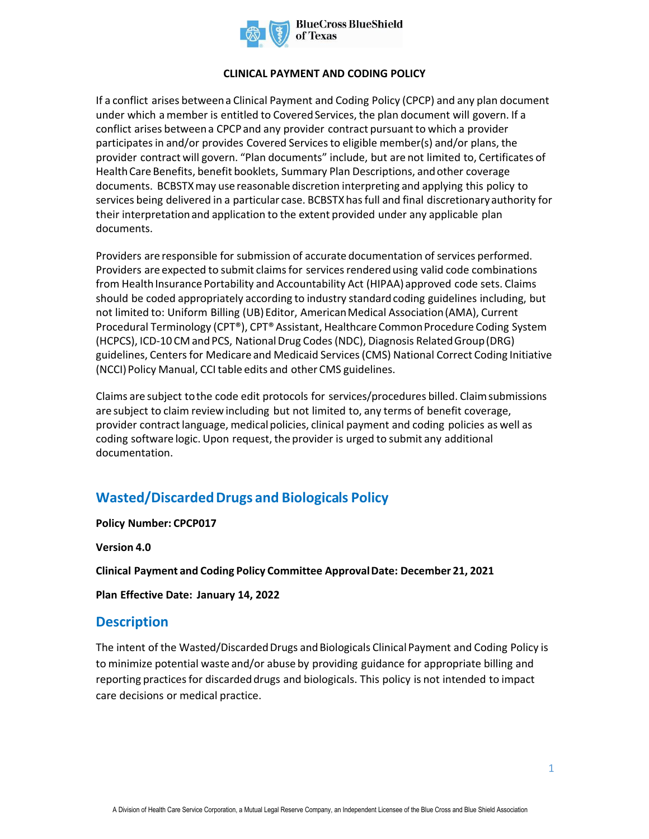

#### **CLINICAL PAYMENT AND CODING POLICY**

If a conflict arises between a Clinical Payment and Coding Policy (CPCP) and any plan document under which a member is entitled to Covered Services, the plan document will govern. If a conflict arises between a CPCP and any provider contract pursuant to which a provider participates in and/or provides Covered Services to eligible member(s) and/or plans, the provider contract will govern. "Plan documents" include, but are not limited to, Certificates of Health Care Benefits, benefit booklets, Summary Plan Descriptions, and other coverage documents. BCBSTXmay use reasonable discretion interpreting and applying this policy to services being delivered in a particular case. BCBSTXhas full and final discretionary authority for their interpretation and application to the extent provided under any applicable plan documents.

Providers are responsible for submission of accurate documentation of services performed. Providers are expected to submit claims for services rendered using valid code combinations from Health Insurance Portability and Accountability Act (HIPAA) approved code sets. Claims should be coded appropriately according to industry standard coding guidelines including, but not limited to: Uniform Billing (UB) Editor, American Medical Association (AMA), Current Procedural Terminology (CPT®), CPT® Assistant, Healthcare Common Procedure Coding System (HCPCS), ICD-10 CM and PCS, National Drug Codes (NDC), Diagnosis Related Group (DRG) guidelines, Centers for Medicare and Medicaid Services (CMS) National Correct Coding Initiative (NCCI) Policy Manual, CCI table edits and other CMS guidelines.

Claims are subject to the code edit protocols for services/procedures billed. Claim submissions are subject to claim review including but not limited to, any terms of benefit coverage, provider contract language, medical policies, clinical payment and coding policies as well as coding software logic. Upon request, the provider is urged to submit any additional documentation.

# **Wasted/Discarded Drugs and Biologicals Policy**

**Policy Number: CPCP017** 

**Version 4.0** 

**Clinical Payment and Coding Policy Committee Approval Date: December 21, 2021** 

**Plan Effective Date: January 14, 2022**

### **Description**

The intent of the Wasted/Discarded Drugs and Biologicals Clinical Payment and Coding Policy is to minimize potential waste and/or abuse by providing guidance for appropriate billing and reporting practices for discarded drugs and biologicals. This policy is not intended to impact care decisions or medical practice.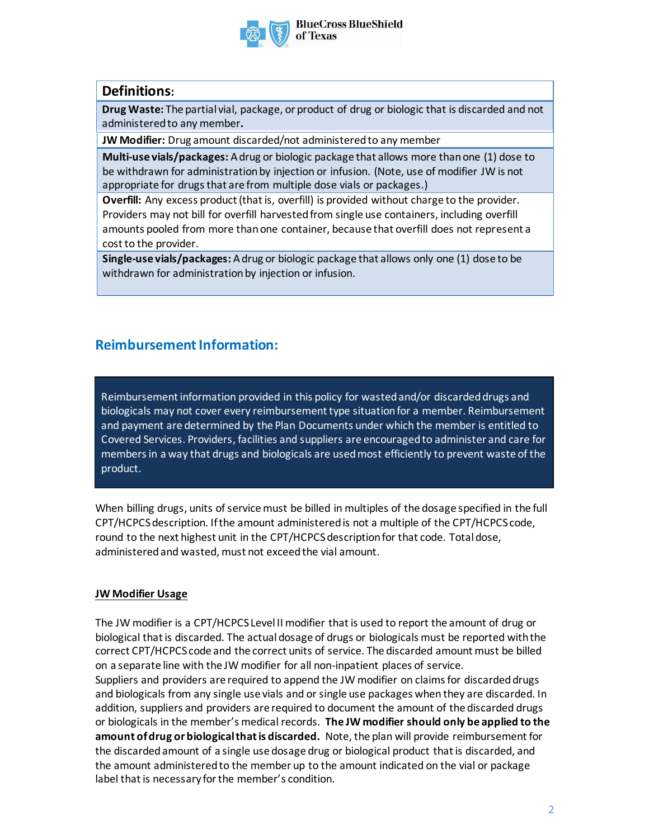

## **Definitions:**

**Drug Waste:** The partial vial, package, or product of drug or biologic that is discarded and not administered to any member**.** 

**JW Modifier:** Drug amount discarded/not administered to any member

**Multi-use vials/packages:** A drug or biologic package that allows more than one (1) dose to be withdrawn for administration by injection or infusion. (Note, use of modifier JW is not appropriate for drugs that are from multiple dose vials or packages.)

**Overfill:** Any excess product (that is, overfill) is provided without charge to the provider. Providers may not bill for overfill harvested from single use containers, including overfill amounts pooled from more than one container, because that overfill does not represent a cost to the provider.

**Single-use vials/packages:** A drug or biologic package that allows only one (1) dose to be withdrawn for administration by injection or infusion.

## **Reimbursement Information:**

Reimbursement information provided in this policy for wasted and/or discarded drugs and biologicals may not cover every reimbursement type situation for a member. Reimbursement and payment are determined by the Plan Documents under which the member is entitled to Covered Services. Providers, facilities and suppliers are encouragedto administer and care for members in a way that drugs and biologicals are used most efficiently to prevent waste of the product.

When billing drugs, units of service must be billed in multiples of the dosage specified in the full CPT/HCPCS description. If the amount administered is not a multiple of the CPT/HCPCS code, round to the next highest unit in the CPT/HCPCS description for that code. Total dose, administered and wasted, must not exceed the vial amount.

### **JW Modifier Usage**

The JW modifier is a CPT/HCPCS Level II modifier that is used to report the amount of drug or biological that is discarded. The actual dosage of drugs or biologicals must be reported with the correct CPT/HCPCS code and the correct units of service. The discarded amount must be billed on a separate line with the JW modifier for all non-inpatient places of service. Suppliers and providers are required to append the JW modifier on claims for discarded drugs and biologicals from any single use vials and or single use packages when they are discarded. In addition, suppliers and providers are required to document the amount of the discarded drugs or biologicals in the member's medical records. **The JW modifier should only be applied to the amount of drug or biological that is discarded.** Note, the plan will provide reimbursement for the discarded amount of a single use dosage drug or biological product that is discarded, and the amount administered to the member up to the amount indicated on the vial or package label that is necessary for the member's condition.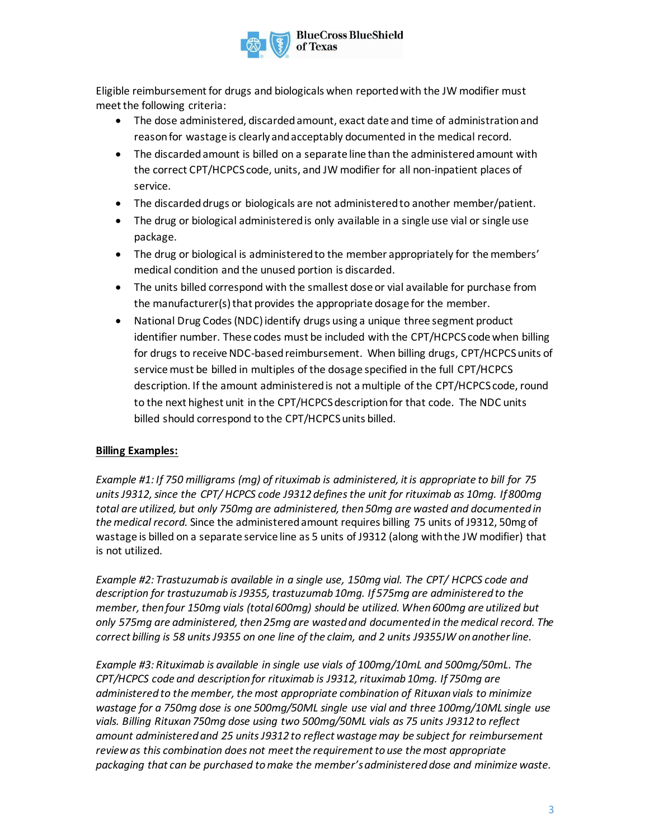

Eligible reimbursement for drugs and biologicals when reported with the JW modifier must meet the following criteria:

- The dose administered, discarded amount, exact date and time of administration and reason for wastage is clearly and acceptably documented in the medical record.
- The discarded amount is billed on a separate line than the administered amount with the correct CPT/HCPCS code, units, and JW modifier for all non-inpatient places of service.
- The discarded drugs or biologicals are not administered to another member/patient.
- The drug or biological administered is only available in a single use vial or single use package.
- The drug or biological is administered to the member appropriately for the members' medical condition and the unused portion is discarded.
- The units billed correspond with the smallest dose or vial available for purchase from the manufacturer(s) that provides the appropriate dosage for the member.
- National Drug Codes (NDC) identify drugs using a unique three segment product identifier number. These codes must be included with the CPT/HCPCS code when billing for drugs to receive NDC-based reimbursement. When billing drugs, CPT/HCPCS units of service must be billed in multiples of the dosage specified in the full CPT/HCPCS description. If the amount administered is not a multiple of the CPT/HCPCS code, round to the next highest unit in the CPT/HCPCS description for that code. The NDC units billed should correspond to the CPT/HCPCS units billed.

#### **Billing Examples:**

*Example #1: If 750 milligrams (mg) of rituximab is administered, it is appropriate to bill for 75 units J9312, since the CPT/ HCPCS code J9312 defines the unit for rituximab as 10mg. If 800mg total are utilized, but only 750mg are administered, then 50mg are wasted and documented in the medical record.* Since the administered amount requires billing 75 units of J9312, 50mg of wastage is billed on a separate service line as 5 units of J9312 (along with the JW modifier) that is not utilized.

*Example #2: Trastuzumab is available in a single use, 150mg vial. The CPT/ HCPCS code and description for trastuzumab is J9355, trastuzumab 10mg. If 575mg are administered to the member, then four 150mg vials (total 600mg) should be utilized. When 600mg are utilized but only 575mg are administered, then 25mg are wasted and documented in the medical record. The correct billing is 58 units J9355 on one line of the claim, and 2 units J9355JW on another line.* 

*Example #3: Rituximab is available in single use vials of 100mg/10mL and 500mg/50mL. The CPT/HCPCS code and description for rituximab is J9312, rituximab 10mg. If 750mg are administered to the member, the most appropriate combination of Rituxan vials to minimize wastage for a 750mg dose is one 500mg/50ML single use vial and three 100mg/10ML single use vials. Billing Rituxan 750mg dose using two 500mg/50ML vials as 75 units J9312 to reflect amount administered and 25 units J9312 to reflect wastage may be subject for reimbursement review as this combination does not meet the requirement to use the most appropriate packaging that can be purchased to make the member's administered dose and minimize waste.*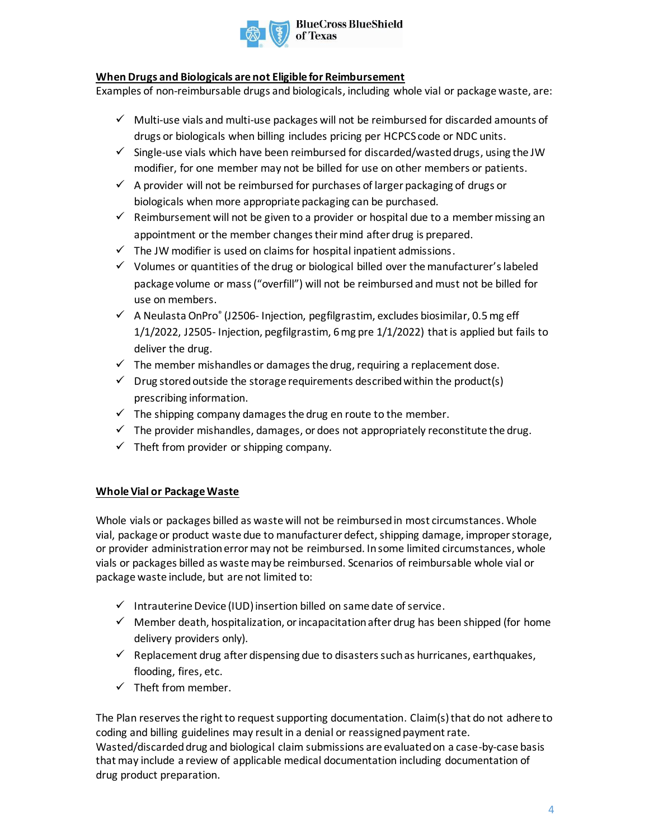

#### **When Drugs and Biologicals are not Eligible for Reimbursement**

Examples of non-reimbursable drugs and biologicals, including whole vial or package waste, are:

- $\checkmark$  Multi-use vials and multi-use packages will not be reimbursed for discarded amounts of drugs or biologicals when billing includes pricing per HCPCS code or NDC units.
- $\checkmark$  Single-use vials which have been reimbursed for discarded/wasted drugs, using the JW modifier, for one member may not be billed for use on other members or patients.
- $\checkmark$  A provider will not be reimbursed for purchases of larger packaging of drugs or biologicals when more appropriate packaging can be purchased.
- $\checkmark$  Reimbursement will not be given to a provider or hospital due to a member missing an appointment or the member changes their mind after drug is prepared.
- $\checkmark$  The JW modifier is used on claims for hospital inpatient admissions.
- $\checkmark$  Volumes or quantities of the drug or biological billed over the manufacturer's labeled package volume or mass ("overfill") will not be reimbursed and must not be billed for use on members.
- ✓ A Neulasta OnPro® (J2506- Injection, pegfilgrastim, excludes biosimilar, 0.5 mg eff 1/1/2022, J2505- Injection, pegfilgrastim, 6 mg pre 1/1/2022) that is applied but fails to deliver the drug.
- $\checkmark$  The member mishandles or damages the drug, requiring a replacement dose.
- $\checkmark$  Drug stored outside the storage requirements described within the product(s) prescribing information.
- $\checkmark$  The shipping company damages the drug en route to the member.
- $\checkmark$  The provider mishandles, damages, or does not appropriately reconstitute the drug.
- $\checkmark$  Theft from provider or shipping company.

#### **Whole Vial or Package Waste**

Whole vials or packages billed as waste will not be reimbursed in most circumstances. Whole vial, package or product waste due to manufacturer defect, shipping damage, improper storage, or provider administration error may not be reimbursed. In some limited circumstances, whole vials or packages billed as waste may be reimbursed. Scenarios of reimbursable whole vial or package waste include, but are not limited to:

- $\checkmark$  Intrauterine Device (IUD) insertion billed on same date of service.
- $\checkmark$  Member death, hospitalization, or incapacitation after drug has been shipped (for home delivery providers only).
- $\checkmark$  Replacement drug after dispensing due to disasters such as hurricanes, earthquakes, flooding, fires, etc.
- $\checkmark$  Theft from member.

The Plan reserves the right to request supporting documentation. Claim(s) that do not adhere to coding and billing guidelines may result in a denial or reassigned payment rate. Wasted/discarded drug and biological claim submissions are evaluated on a case-by-case basis that may include a review of applicable medical documentation including documentation of drug product preparation.